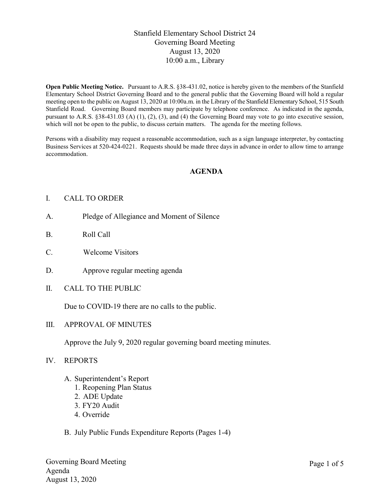# Stanfield Elementary School District 24 Governing Board Meeting August 13, 2020 10:00 a.m., Library

Open Public Meeting Notice. Pursuant to A.R.S. §38-431.02, notice is hereby given to the members of the Stanfield Elementary School District Governing Board and to the general public that the Governing Board will hold a regular meeting open to the public on August 13, 2020 at 10:00a.m. in the Library of the Stanfield Elementary School, 515 South Stanfield Road. Governing Board members may participate by telephone conference. As indicated in the agenda, pursuant to A.R.S. §38-431.03 (A) (1), (2), (3), and (4) the Governing Board may vote to go into executive session, which will not be open to the public, to discuss certain matters. The agenda for the meeting follows.

Persons with a disability may request a reasonable accommodation, such as a sign language interpreter, by contacting Business Services at 520-424-0221. Requests should be made three days in advance in order to allow time to arrange accommodation.

## AGENDA

### I. CALL TO ORDER

- A. Pledge of Allegiance and Moment of Silence
- B. Roll Call
- C. Welcome Visitors
- D. Approve regular meeting agenda
- II. CALL TO THE PUBLIC

Due to COVID-19 there are no calls to the public.

III. APPROVAL OF MINUTES

Approve the July 9, 2020 regular governing board meeting minutes.

- IV. REPORTS
	- A. Superintendent's Report
		- 1. Reopening Plan Status
		- 2. ADE Update
		- 3. FY20 Audit
		- 4. Override
	- B. July Public Funds Expenditure Reports (Pages 1-4)

Governing Board Meeting Agenda August 13, 2020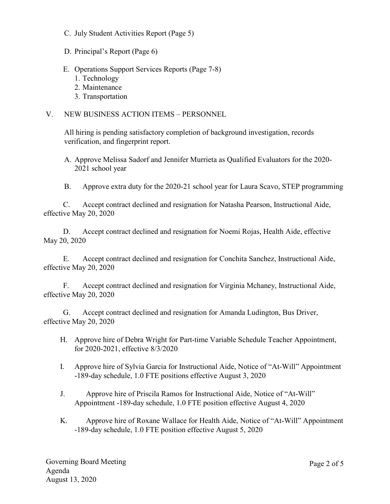- C. July Student Activities Report (Page 5)
- D. Principal's Report (Page 6)
- E. Operations Support Services Reports (Page 7-8)
	- 1. Technology
	- 2. Maintenance
	- 3. Transportation

### V. NEW BUSINESS ACTION ITEMS – PERSONNEL

All hiring is pending satisfactory completion of background investigation, records verification, and fingerprint report.

- A. Approve Melissa Sadorf and Jennifer Murrieta as Qualified Evaluators for the 2020- 2021 school year
- B. Approve extra duty for the 2020-21 school year for Laura Scavo, STEP programming

C. Accept contract declined and resignation for Natasha Pearson, Instructional Aide, effective May 20, 2020

D. Accept contract declined and resignation for Noemi Rojas, Health Aide, effective May 20, 2020

E. Accept contract declined and resignation for Conchita Sanchez, Instructional Aide, effective May 20, 2020

F. Accept contract declined and resignation for Virginia Mchaney, Instructional Aide, effective May 20, 2020

G. Accept contract declined and resignation for Amanda Ludington, Bus Driver, effective May 20, 2020

- H. Approve hire of Debra Wright for Part-time Variable Schedule Teacher Appointment, for 2020-2021, effective 8/3/2020
- I. Approve hire of Sylvia Garcia for Instructional Aide, Notice of "At-Will" Appointment -189-day schedule, 1.0 FTE positions effective August 3, 2020
- J. Approve hire of Priscila Ramos for Instructional Aide, Notice of "At-Will" Appointment -189-day schedule, 1.0 FTE position effective August 4, 2020
- K. Approve hire of Roxane Wallace for Health Aide, Notice of "At-Will" Appointment -189-day schedule, 1.0 FTE position effective August 5, 2020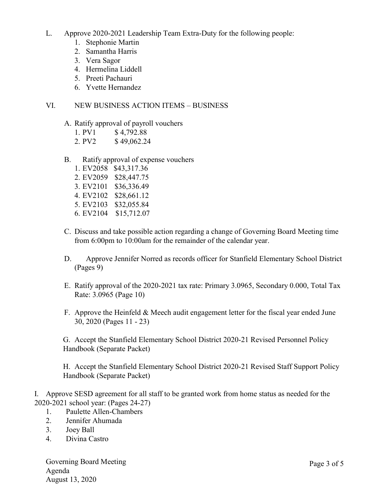- L. Approve 2020-2021 Leadership Team Extra-Duty for the following people:
	- 1. Stephonie Martin
	- 2. Samantha Harris
	- 3. Vera Sagor
	- 4. Hermelina Liddell
	- 5. Preeti Pachauri
	- 6. Yvette Hernandez

# VI. NEW BUSINESS ACTION ITEMS – BUSINESS

- A. Ratify approval of payroll vouchers
	- 1. PV1 \$4,792.88
	- 2. PV2 \$49,062.24
- B. Ratify approval of expense vouchers
	- 1. EV2058 \$43,317.36 2. EV2059 \$28,447.75 3. EV2101 \$36,336.49 4. EV2102 \$28,661.12 5. EV2103 \$32,055.84 6. EV2104 \$15,712.07
- C. Discuss and take possible action regarding a change of Governing Board Meeting time from 6:00pm to 10:00am for the remainder of the calendar year.
- D. Approve Jennifer Norred as records officer for Stanfield Elementary School District (Pages 9)
- E. Ratify approval of the 2020-2021 tax rate: Primary 3.0965, Secondary 0.000, Total Tax Rate: 3.0965 (Page 10)
- F. Approve the Heinfeld & Meech audit engagement letter for the fiscal year ended June 30, 2020 (Pages 11 - 23)

G. Accept the Stanfield Elementary School District 2020-21 Revised Personnel Policy Handbook (Separate Packet)

H. Accept the Stanfield Elementary School District 2020-21 Revised Staff Support Policy Handbook (Separate Packet)

I. Approve SESD agreement for all staff to be granted work from home status as needed for the 2020-2021 school year: (Pages 24-27)

- 1. Paulette Allen-Chambers
- 2. Jennifer Ahumada
- 3. Joey Ball
- 4. Divina Castro

Governing Board Meeting Agenda August 13, 2020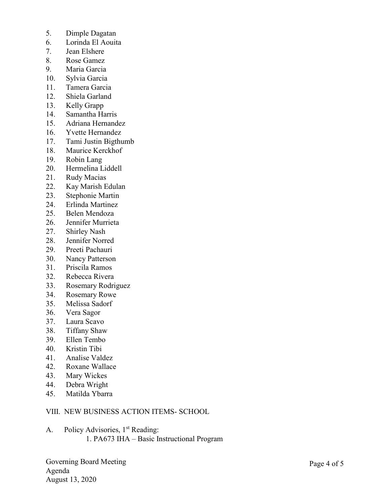- 5. Dimple Dagatan
- 6. Lorinda El Aouita
- 7. Jean Elshere
- 8. Rose Gamez
- 9. Maria Garcia
- 10. Sylvia Garcia
- 11. Tamera Garcia
- 12. Shiela Garland
- 13. Kelly Grapp
- 14. Samantha Harris
- 15. Adriana Hernandez
- 16. Yvette Hernandez
- 17. Tami Justin Bigthumb
- 18. Maurice Kerckhof
- 19. Robin Lang
- 20. Hermelina Liddell
- 21. Rudy Macias
- 22. Kay Marish Edulan
- 23. Stephonie Martin
- 24. Erlinda Martinez
- 25. Belen Mendoza
- 26. Jennifer Murrieta
- 27. Shirley Nash
- 28. Jennifer Norred
- 29. Preeti Pachauri
- 30. Nancy Patterson
- 31. Priscila Ramos
- 32. Rebecca Rivera
- 33. Rosemary Rodriguez
- 34. Rosemary Rowe
- 35. Melissa Sadorf
- 36. Vera Sagor
- 37. Laura Scavo
- 38. Tiffany Shaw
- 39. Ellen Tembo
- 40. Kristin Tibi
- 41. Analise Valdez
- 42. Roxane Wallace
- 43. Mary Wickes
- 44. Debra Wright
- 45. Matilda Ybarra

## VIII. NEW BUSINESS ACTION ITEMS- SCHOOL

A. Policy Advisories, 1<sup>st</sup> Reading: 1. PA673 IHA – Basic Instructional Program